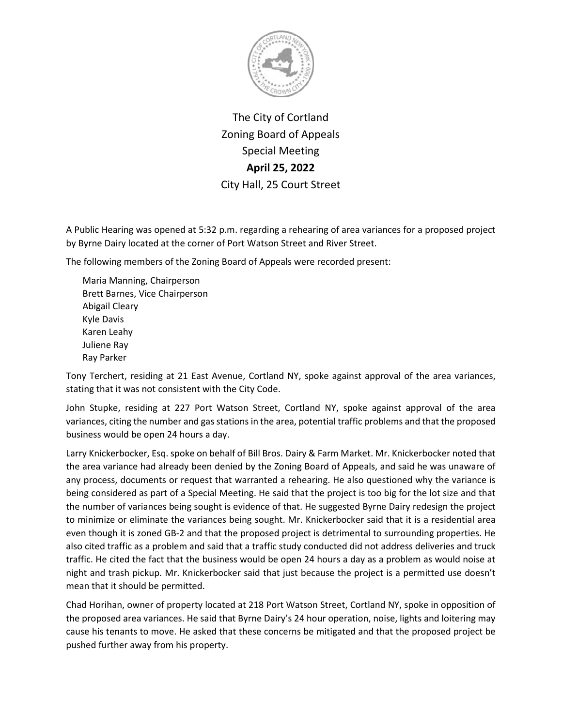

The City of Cortland Zoning Board of Appeals Special Meeting **April 25, 2022** City Hall, 25 Court Street

A Public Hearing was opened at 5:32 p.m. regarding a rehearing of area variances for a proposed project by Byrne Dairy located at the corner of Port Watson Street and River Street.

The following members of the Zoning Board of Appeals were recorded present:

Maria Manning, Chairperson Brett Barnes, Vice Chairperson Abigail Cleary Kyle Davis Karen Leahy Juliene Ray Ray Parker

Tony Terchert, residing at 21 East Avenue, Cortland NY, spoke against approval of the area variances, stating that it was not consistent with the City Code.

John Stupke, residing at 227 Port Watson Street, Cortland NY, spoke against approval of the area variances, citing the number and gas stations in the area, potential traffic problems and that the proposed business would be open 24 hours a day.

Larry Knickerbocker, Esq. spoke on behalf of Bill Bros. Dairy & Farm Market. Mr. Knickerbocker noted that the area variance had already been denied by the Zoning Board of Appeals, and said he was unaware of any process, documents or request that warranted a rehearing. He also questioned why the variance is being considered as part of a Special Meeting. He said that the project is too big for the lot size and that the number of variances being sought is evidence of that. He suggested Byrne Dairy redesign the project to minimize or eliminate the variances being sought. Mr. Knickerbocker said that it is a residential area even though it is zoned GB-2 and that the proposed project is detrimental to surrounding properties. He also cited traffic as a problem and said that a traffic study conducted did not address deliveries and truck traffic. He cited the fact that the business would be open 24 hours a day as a problem as would noise at night and trash pickup. Mr. Knickerbocker said that just because the project is a permitted use doesn't mean that it should be permitted.

Chad Horihan, owner of property located at 218 Port Watson Street, Cortland NY, spoke in opposition of the proposed area variances. He said that Byrne Dairy's 24 hour operation, noise, lights and loitering may cause his tenants to move. He asked that these concerns be mitigated and that the proposed project be pushed further away from his property.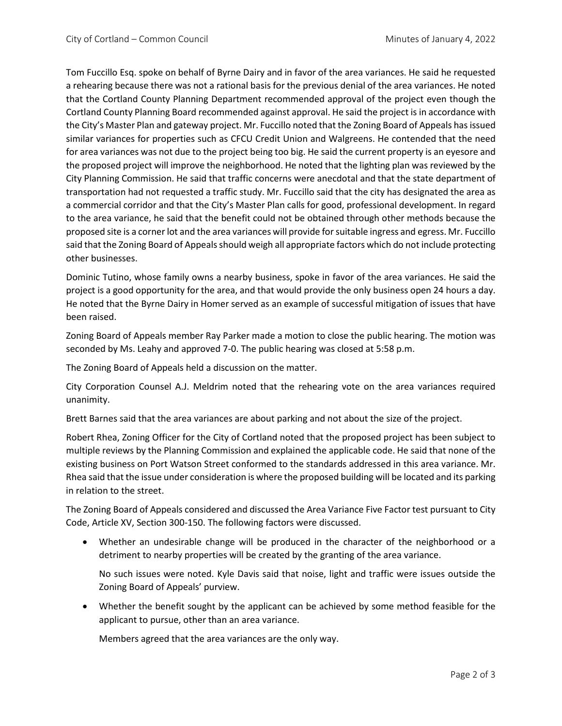Tom Fuccillo Esq. spoke on behalf of Byrne Dairy and in favor of the area variances. He said he requested a rehearing because there was not a rational basis for the previous denial of the area variances. He noted that the Cortland County Planning Department recommended approval of the project even though the Cortland County Planning Board recommended against approval. He said the project is in accordance with the City's Master Plan and gateway project. Mr. Fuccillo noted that the Zoning Board of Appeals has issued similar variances for properties such as CFCU Credit Union and Walgreens. He contended that the need for area variances was not due to the project being too big. He said the current property is an eyesore and the proposed project will improve the neighborhood. He noted that the lighting plan was reviewed by the City Planning Commission. He said that traffic concerns were anecdotal and that the state department of transportation had not requested a traffic study. Mr. Fuccillo said that the city has designated the area as a commercial corridor and that the City's Master Plan calls for good, professional development. In regard to the area variance, he said that the benefit could not be obtained through other methods because the proposed site is a corner lot and the area variances will provide for suitable ingress and egress. Mr. Fuccillo said that the Zoning Board of Appeals should weigh all appropriate factors which do not include protecting other businesses.

Dominic Tutino, whose family owns a nearby business, spoke in favor of the area variances. He said the project is a good opportunity for the area, and that would provide the only business open 24 hours a day. He noted that the Byrne Dairy in Homer served as an example of successful mitigation of issues that have been raised.

Zoning Board of Appeals member Ray Parker made a motion to close the public hearing. The motion was seconded by Ms. Leahy and approved 7-0. The public hearing was closed at 5:58 p.m.

The Zoning Board of Appeals held a discussion on the matter.

City Corporation Counsel A.J. Meldrim noted that the rehearing vote on the area variances required unanimity.

Brett Barnes said that the area variances are about parking and not about the size of the project.

Robert Rhea, Zoning Officer for the City of Cortland noted that the proposed project has been subject to multiple reviews by the Planning Commission and explained the applicable code. He said that none of the existing business on Port Watson Street conformed to the standards addressed in this area variance. Mr. Rhea said that the issue under consideration is where the proposed building will be located and its parking in relation to the street.

The Zoning Board of Appeals considered and discussed the Area Variance Five Factor test pursuant to City Code, Article XV, Section 300-150. The following factors were discussed.

• Whether an undesirable change will be produced in the character of the neighborhood or a detriment to nearby properties will be created by the granting of the area variance.

No such issues were noted. Kyle Davis said that noise, light and traffic were issues outside the Zoning Board of Appeals' purview.

• Whether the benefit sought by the applicant can be achieved by some method feasible for the applicant to pursue, other than an area variance.

Members agreed that the area variances are the only way.